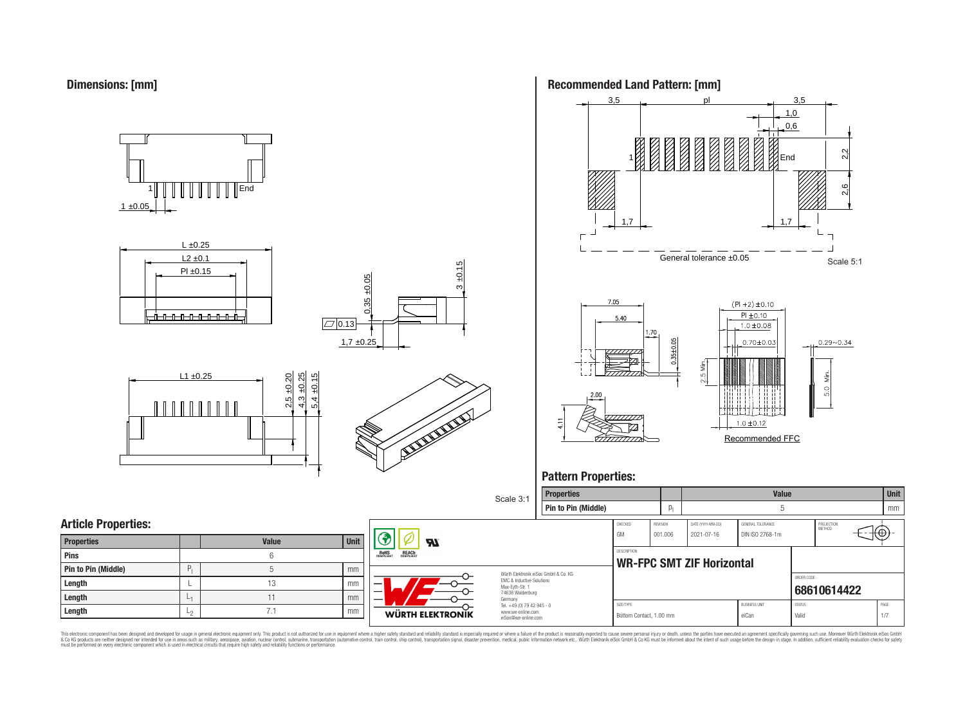

 $1 \pm 0.05$ 1 End













## **Pattern Properties:**



This electronic component has been designed and developed for usage in general electronic equipment only. This product is not authorized for use in equipment where a higher safely standard and reliability standard si espec & Ook product a label and the membed of the seasuch as marked and as which such a membed and the such assume that income in the seasuch and the simulation and the such assume that include to the such a membed and the such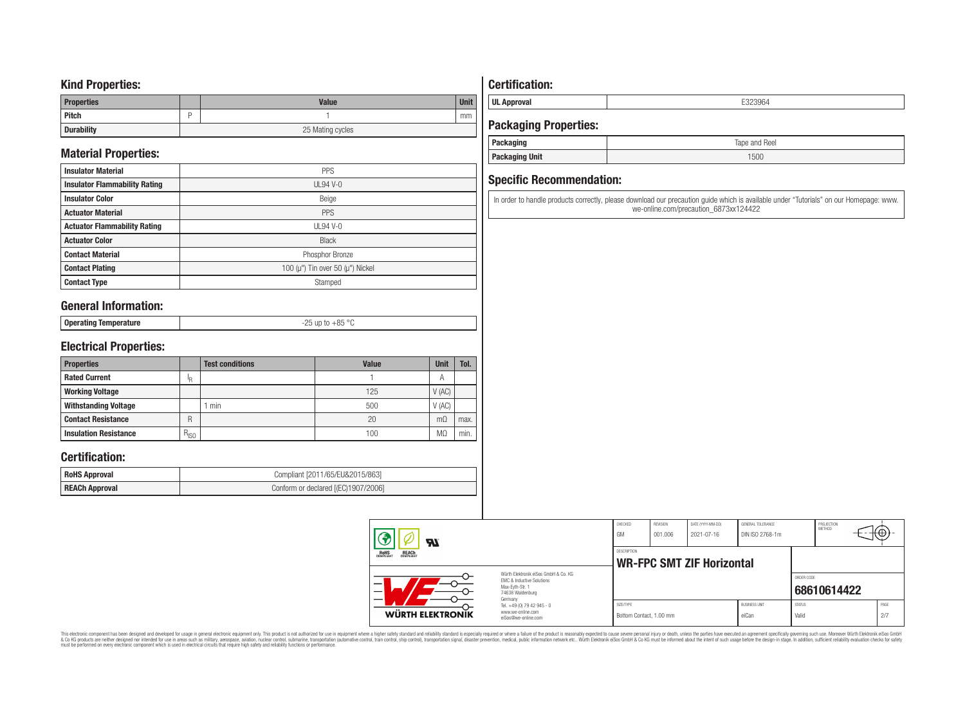### **Kind Properties:**

| <b>Properties</b> |   | <b>Value</b>     | <b>Unit</b> |  |  |
|-------------------|---|------------------|-------------|--|--|
| Pitch             | - |                  | mm          |  |  |
| <b>Durability</b> |   | 25 Mating cycles |             |  |  |

# **Material Properties:**

| <b>Insulator Material</b>            | <b>PPS</b>                                   |
|--------------------------------------|----------------------------------------------|
| <b>Insulator Flammability Rating</b> | $UL94V-0$                                    |
| <b>Insulator Color</b>               | Beige                                        |
| <b>Actuator Material</b>             | PPS                                          |
| <b>Actuator Flammability Rating</b>  | $UL94$ V-0                                   |
| <b>Actuator Color</b>                | <b>Black</b>                                 |
| <b>Contact Material</b>              | Phosphor Bronze                              |
| <b>Contact Plating</b>               | 100 ( $\mu$ ") Tin over 50 ( $\mu$ ") Nickel |
| <b>Contact Type</b>                  | Stamped                                      |

### **General Information:**

| <b>Onera</b><br>ັບບຸບເພເມະສ | $OC$ or<br>$-\circ$ |
|-----------------------------|---------------------|
|                             |                     |

## **Electrical Properties:**

| <b>Properties</b>            |               | <b>Test conditions</b> | <b>Value</b> | <b>Unit</b>    | Tol. |
|------------------------------|---------------|------------------------|--------------|----------------|------|
| <b>Rated Current</b>         | Ιp            |                        |              | $\overline{A}$ |      |
| <b>Working Voltage</b>       |               |                        | 125          | V(AC)          |      |
| <b>Withstanding Voltage</b>  |               | min                    | 500          | V(AC)          |      |
| <b>Contact Resistance</b>    | R             |                        | 20           | $m\Omega$      | max. |
| <b>Insulation Resistance</b> | $R_{\mid SO}$ |                        | 100          | MΩ             | min. |

### **Certification:**

| <b>RoHS Approval</b>  | Compliant [2011/65/EU&2015/863]     |
|-----------------------|-------------------------------------|
| <b>REACh Approval</b> | Conform or declared [(EC)1907/2006] |

# **Certification:**

**UL Approval** E323964

# **Packaging Properties:**

| rackaging             | Tape and Reel |
|-----------------------|---------------|
| <b>Packaging Unit</b> | 1500          |

### **Specific Recommendation:**

In order to handle products correctly, please download our precaution guide which is available under "Tutorials" on our Homepage: www. we-online.com/precaution\_6873xx124422

| ЯI                                                                                                       |                                                                                   | CHECKED<br>GM                        | <b>REVISION</b><br>001.006 | DATE (YYYY-MM-DD)<br>2021-07-16  | GENERAL TOLERANCE<br>DIN ISO 2768-1m |                        | PROJECTION<br><b>METHOD</b> | ⊣t⊕∴        |
|----------------------------------------------------------------------------------------------------------|-----------------------------------------------------------------------------------|--------------------------------------|----------------------------|----------------------------------|--------------------------------------|------------------------|-----------------------------|-------------|
| <b>REACH</b><br>COMPLIANT<br><b>ROHS</b><br>COMPLIANT                                                    |                                                                                   | DESCRIPTION                          |                            | <b>WR-FPC SMT ZIF Horizontal</b> |                                      |                        |                             |             |
| Würth Elektronik eiSos GmbH & Co. KG<br>EMC & Inductive Solutions<br>Max-Evth-Str. 1<br>74638 Waldenburg |                                                                                   |                                      |                            |                                  |                                      | ORDER CODE             | 68610614422                 |             |
| WÜRTH ELEKTRONIK                                                                                         | Germany<br>Tel. +49 (0) 79 42 945 - 0<br>www.we-online.com<br>eiSos@we-online.com | SIZE/TYPE<br>Bottom Contact, 1.00 mm |                            |                                  | <b>BUSINESS UNIT</b><br>eiCan        | <b>STATUS</b><br>Valid |                             | PAGE<br>2/7 |

This electronic component has been designed and developed for usage in general electronic equipment only. This product is not authorized for subserved requipment where a higher selection equipment where a higher selection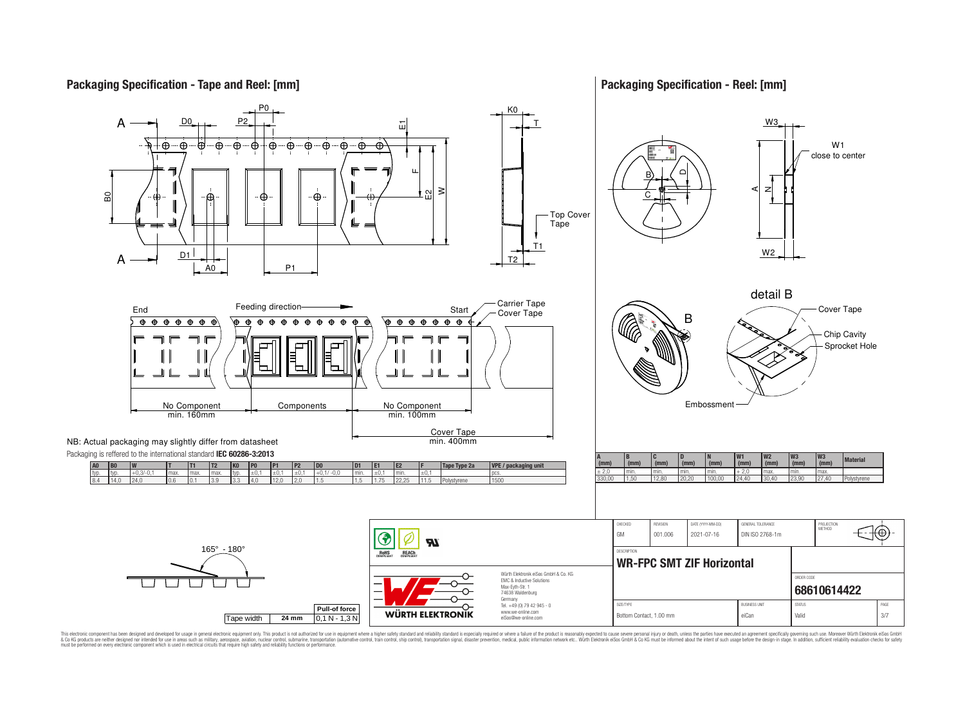**Packaging Specification - Tape and Reel: [mm]**

**Packaging Specification - Reel: [mm]**



This electronic component has been designed and developed for usage in general electronic equipment only. This product is not authorized for use in equipment where a higher safely standard and reliability standard si espec & Ook product a label and the membed of the seasuch as marked and as which such a membed and the such assume that income in the seasuch and the simulation and the such assume that include to the such a membed and the such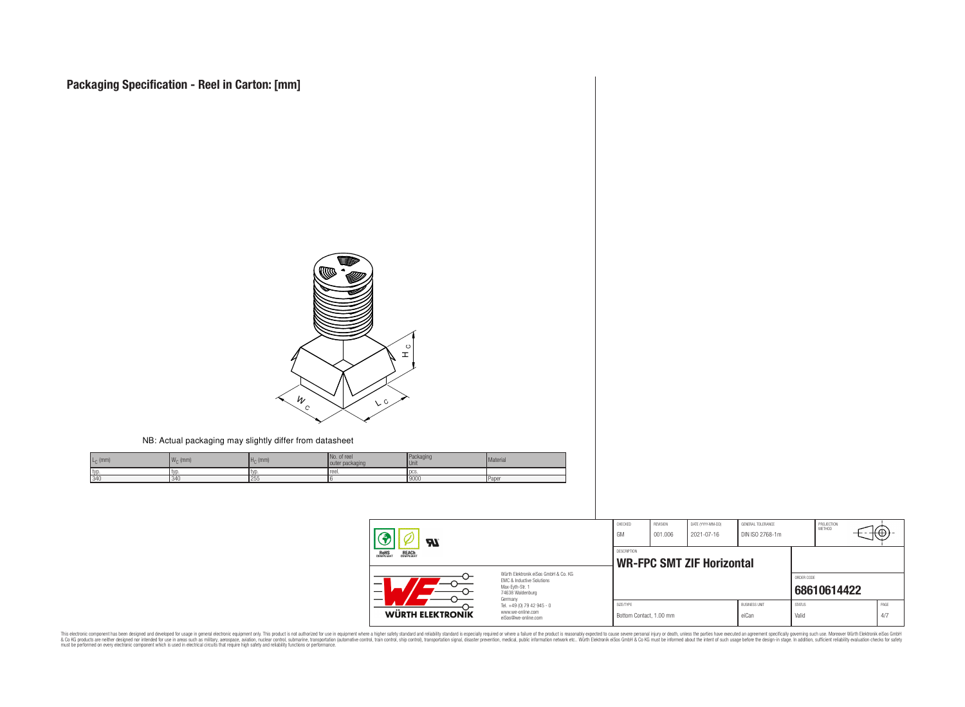

NB: Actual packaging may slightly differ from datasheet

| $L_{C}$ (mm)<br>M<br>$W_{\cap}$ (mm) | $H_{\cap}$ (mm) | No. of reel<br>outer packaging | Packaging<br><b>Unit</b> | Material |
|--------------------------------------|-----------------|--------------------------------|--------------------------|----------|
| typ.<br>l typ                        | tvr             | reel.                          | l pcs                    |          |
| 340<br>34(                           | 255             |                                | 19000                    | Pape     |

| ЪT                                                                                                                                                   |                                                                        | CHECKED<br>GM                        | REVISION<br>001.006 | DATE (YYYY-MM-DD)<br>2021-07-16  | GENERAL TOLERANCE<br>DIN ISO 2768-1m |                        | PROJECTION<br>METHOD | ΨA          |
|------------------------------------------------------------------------------------------------------------------------------------------------------|------------------------------------------------------------------------|--------------------------------------|---------------------|----------------------------------|--------------------------------------|------------------------|----------------------|-------------|
| <b>ROHS</b><br>COMPLIANT<br><b>REACH</b><br>COMPLIANT                                                                                                |                                                                        | <b>DESCRIPTION</b>                   |                     | <b>WR-FPC SMT ZIF Horizontal</b> |                                      |                        |                      |             |
| Würth Flektronik eiSos GmbH & Co. KG<br>EMC & Inductive Solutions<br>–<br>Max-Eyth-Str. 1<br>$\overline{\phantom{0}}$<br>74638 Waldenburg<br>Germany |                                                                        |                                      |                     |                                  |                                      | ORDER CODE             | 68610614422          |             |
| WÜRTH ELEKTRONIK                                                                                                                                     | Tel. +49 (0) 79 42 945 - 0<br>www.we-online.com<br>eiSos@we-online.com | SIZE/TYPE<br>Bottom Contact, 1.00 mm |                     |                                  | <b>BUSINESS UNIT</b><br>eiCan        | <b>STATUS</b><br>Valid |                      | PAGE<br>4/7 |

This electronic component has been designed and developed for usage in general electronic equipment only. This product is not authorized for subserved requipment where a higher selection equipment where a higher selection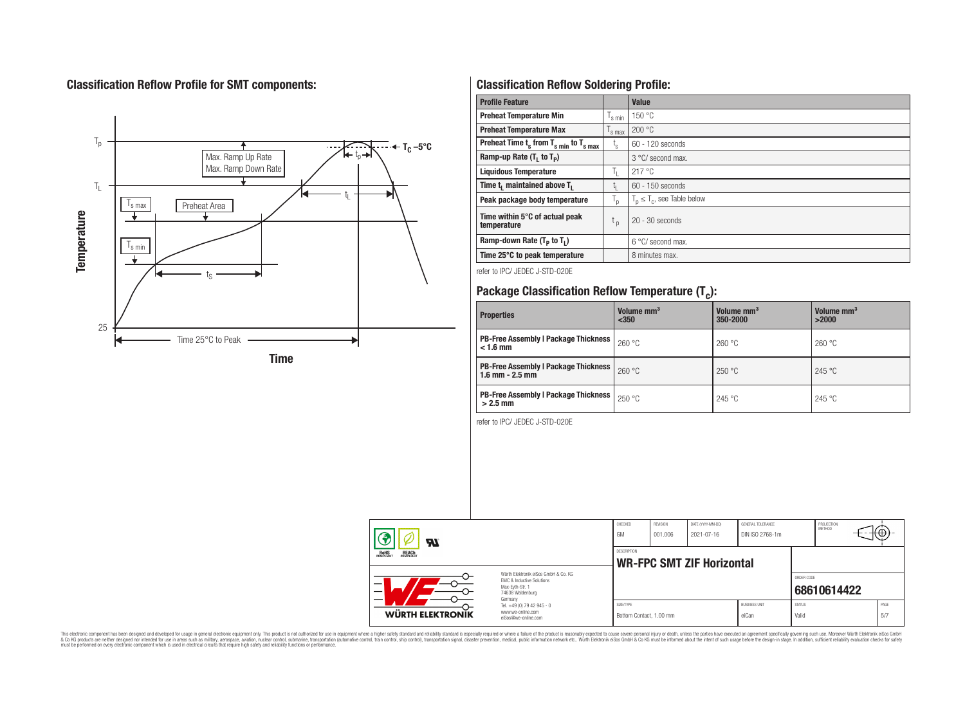# **Classification Reflow Profile for SMT components:**



# **Classification Reflow Soldering Profile:**

| <b>Profile Feature</b>                              |                               | Value                            |
|-----------------------------------------------------|-------------------------------|----------------------------------|
| <b>Preheat Temperature Min</b>                      | 's min                        | 150 °C                           |
| <b>Preheat Temperature Max</b>                      | $\frac{1}{s}$ max             | 200 °C                           |
| Preheat Time $t_s$ from $T_{s,min}$ to $T_{s,max}$  | t,                            | 60 - 120 seconds                 |
| Ramp-up Rate $(T_1$ to $T_p$ )                      |                               | 3 °C/ second max.                |
| <b>Liquidous Temperature</b>                        | ъ.                            | 217 °C                           |
| Time t <sub>i</sub> maintained above T <sub>1</sub> | t,                            | $60 - 150$ seconds               |
| Peak package body temperature                       | T <sub>o</sub>                | $T_p \leq T_c$ , see Table below |
| Time within 5°C of actual peak<br>temperature       | $\mathfrak{c}_{\mathfrak{p}}$ | $20 - 30$ seconds                |
| Ramp-down Rate $(T_p$ to $T_1$ )                    |                               | $6^{\circ}$ C/ second max.       |
| Time 25°C to peak temperature                       |                               | 8 minutes max.                   |

refer to IPC/ JEDEC J-STD-020E

# **Package Classification Reflow Temperature (T<sup>c</sup> ):**

| <b>Properties</b>                                                    | Volume mm <sup>3</sup><br>$350$ | Volume mm <sup>3</sup><br>350-2000 | Volume mm <sup>3</sup><br>>2000 |  |
|----------------------------------------------------------------------|---------------------------------|------------------------------------|---------------------------------|--|
| <b>PB-Free Assembly   Package Thickness  </b><br>$< 1.6$ mm          | 260 °C                          | 260 °C                             | 260 °C                          |  |
| <b>PB-Free Assembly   Package Thickness  </b><br>$1.6$ mm $- 2.5$ mm | 260 °C                          | 250 °C                             | 245 °C                          |  |
| <b>PB-Free Assembly   Package Thickness  </b><br>$>2.5$ mm           | 250 °C                          | 245 °C                             | 245 °C                          |  |

refer to IPC/ JEDEC J-STD-020E

| Яľ                                                                                                                                  |                            | CHECKED<br>GM | <b>REVISION</b><br>001.006 | DATE (YYYY-MM-DD)<br>2021-07-16  | GENERAL TOLERANCE<br>DIN ISO 2768-1m |               | PROJECTION<br><b>METHOD</b> |      |
|-------------------------------------------------------------------------------------------------------------------------------------|----------------------------|---------------|----------------------------|----------------------------------|--------------------------------------|---------------|-----------------------------|------|
| ROHS<br>COMPLIANT<br><b>REACH</b><br>COMPLIANT                                                                                      |                            | DESCRIPTION   |                            | <b>WR-FPC SMT ZIF Horizontal</b> |                                      |               |                             |      |
| Würth Flektronik eiSos GmbH & Co. KG<br><b>EMC &amp; Inductive Solutions</b><br>Max-Evth-Str. 1<br>-<br>74638 Waldenburg<br>Germany |                            |               |                            |                                  |                                      | ORDER CODE    | 68610614422                 |      |
|                                                                                                                                     | Tel. +49 (0) 79 42 945 - 0 | SIZE/TYPE     |                            |                                  | <b>BUSINESS UNIT</b>                 | <b>STATUS</b> |                             | PAGE |

This electronic component has been designed and developed for usage in general electronic equipment only. This product is not authorized for subserved requipment where a higher selection equipment where a higher selection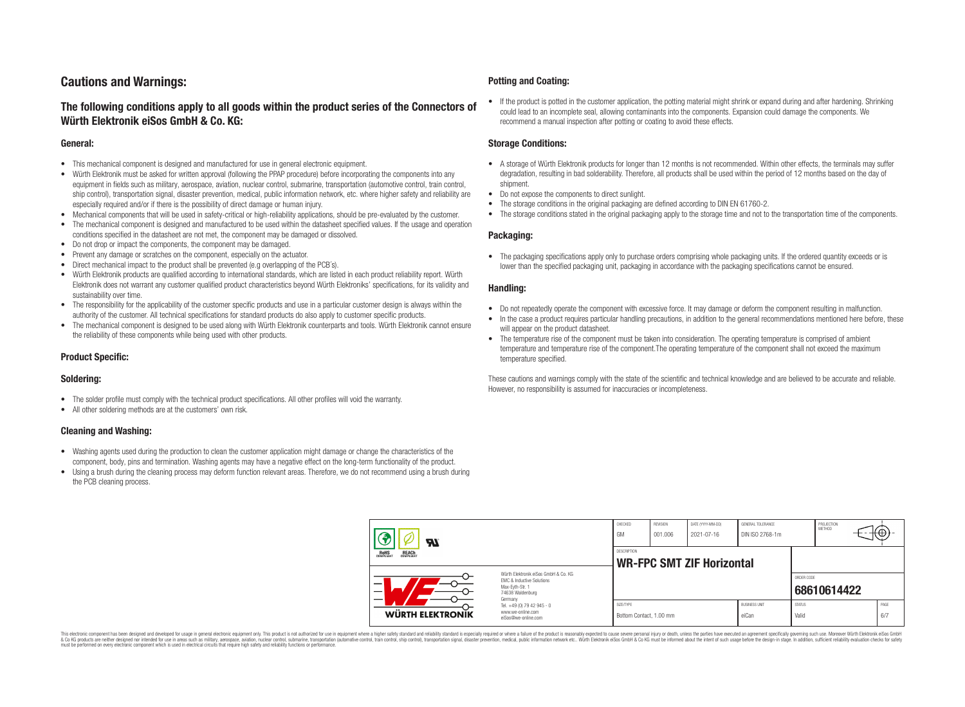# **Cautions and Warnings:**

### **The following conditions apply to all goods within the product series of the Connectors of Würth Elektronik eiSos GmbH & Co. KG:**

#### **General:**

- This mechanical component is designed and manufactured for use in general electronic equipment.
- Würth Elektronik must be asked for written approval (following the PPAP procedure) before incorporating the components into any equipment in fields such as military, aerospace, aviation, nuclear control, submarine, transportation (automotive control, train control, ship control), transportation signal, disaster prevention, medical, public information network, etc. where higher safety and reliability are especially required and/or if there is the possibility of direct damage or human injury.
- Mechanical components that will be used in safety-critical or high-reliability applications, should be pre-evaluated by the customer.
- The mechanical component is designed and manufactured to be used within the datasheet specified values. If the usage and operation conditions specified in the datasheet are not met, the component may be damaged or dissolved.
- Do not drop or impact the components, the component may be damaged.
- Prevent any damage or scratches on the component, especially on the actuator.
- Direct mechanical impact to the product shall be prevented (e.g overlapping of the PCB's).
- Würth Elektronik products are qualified according to international standards, which are listed in each product reliability report. Würth Elektronik does not warrant any customer qualified product characteristics beyond Würth Elektroniks' specifications, for its validity and sustainability over time.
- The responsibility for the applicability of the customer specific products and use in a particular customer design is always within the authority of the customer. All technical specifications for standard products do also apply to customer specific products.
- The mechanical component is designed to be used along with Würth Elektronik counterparts and tools. Würth Elektronik cannot ensure the reliability of these components while being used with other products.

#### **Product Specific:**

#### **Soldering:**

- The solder profile must comply with the technical product specifications. All other profiles will void the warranty.
- All other soldering methods are at the customers' own risk.

#### **Cleaning and Washing:**

- Washing agents used during the production to clean the customer application might damage or change the characteristics of the component, body, pins and termination. Washing agents may have a negative effect on the long-term functionality of the product.
- Using a brush during the cleaning process may deform function relevant areas. Therefore, we do not recommend using a brush during the PCB cleaning process.

#### **Potting and Coating:**

• If the product is potted in the customer application, the potting material might shrink or expand during and after hardening. Shrinking could lead to an incomplete seal, allowing contaminants into the components. Expansion could damage the components. We recommend a manual inspection after potting or coating to avoid these effects.

#### **Storage Conditions:**

- A storage of Würth Elektronik products for longer than 12 months is not recommended. Within other effects, the terminals may suffer degradation, resulting in bad solderability. Therefore, all products shall be used within the period of 12 months based on the day of shipment.
- Do not expose the components to direct sunlight.
- The storage conditions in the original packaging are defined according to DIN EN 61760-2.
- The storage conditions stated in the original packaging apply to the storage time and not to the transportation time of the components.

#### **Packaging:**

• The packaging specifications apply only to purchase orders comprising whole packaging units. If the ordered quantity exceeds or is lower than the specified packaging unit, packaging in accordance with the packaging specifications cannot be ensured.

#### **Handling:**

- Do not repeatedly operate the component with excessive force. It may damage or deform the component resulting in malfunction.
- In the case a product requires particular handling precautions, in addition to the general recommendations mentioned here before, these will appear on the product datasheet
- The temperature rise of the component must be taken into consideration. The operating temperature is comprised of ambient temperature and temperature rise of the component.The operating temperature of the component shall not exceed the maximum temperature specified.

These cautions and warnings comply with the state of the scientific and technical knowledge and are believed to be accurate and reliable. However, no responsibility is assumed for inaccuracies or incompleteness.

| $\boldsymbol{w}$                                                                                                                                                                      |                                                                        | CHECKED<br>GM                                          | REVISION<br>001.006 | DATE (YYYY-MM-DD)<br>2021-07-16 | GENERAL TOLERANCE<br>DIN ISO 2768-1m |                           | PROJECTION<br><b>METHOD</b> |  | ι€Ψ∶        |
|---------------------------------------------------------------------------------------------------------------------------------------------------------------------------------------|------------------------------------------------------------------------|--------------------------------------------------------|---------------------|---------------------------------|--------------------------------------|---------------------------|-----------------------------|--|-------------|
| ROHS<br>COMPLIANT<br><b>REACH</b><br>COMPLIANT<br>Würth Elektronik eiSos GmbH & Co. KG<br><b>EMC &amp; Inductive Solutions</b><br>–<br>Max-Eyth-Str. 1<br>74638 Waldenburg<br>Germany |                                                                        | <b>DESCRIPTION</b><br><b>WR-FPC SMT ZIF Horizontal</b> |                     |                                 |                                      |                           |                             |  |             |
|                                                                                                                                                                                       |                                                                        |                                                        |                     |                                 |                                      | ORDER CODE<br>68610614422 |                             |  |             |
| WÜRTH ELEKTRONIK                                                                                                                                                                      | Tel. +49 (0) 79 42 945 - 0<br>www.we-online.com<br>eiSos@we-online.com | SIZE/TYPE<br>Bottom Contact, 1.00 mm                   |                     |                                 | <b>BUSINESS UNIT</b><br>eiCan        | <b>STATUS</b><br>Valid    |                             |  | PAGE<br>6/7 |

This electronic component has been designed and developed for usage in general electronic equipment only. This product is not authorized for use in equipment where a higher safety standard and reliability standard si espec & Ook product a label and the membed of the seasuch as marked and as which such a membed and the such assume that income in the seasuch and the simulation and the such assume that include to the such a membed and the such